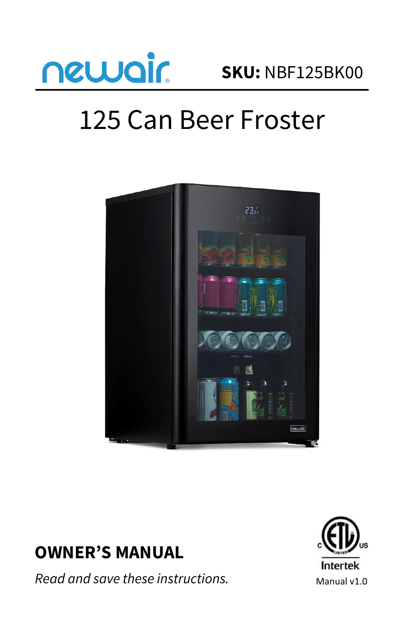

# 125 Can Beer Froster



# **OWNER'S MANUAL**

*Read and save these instructions.*

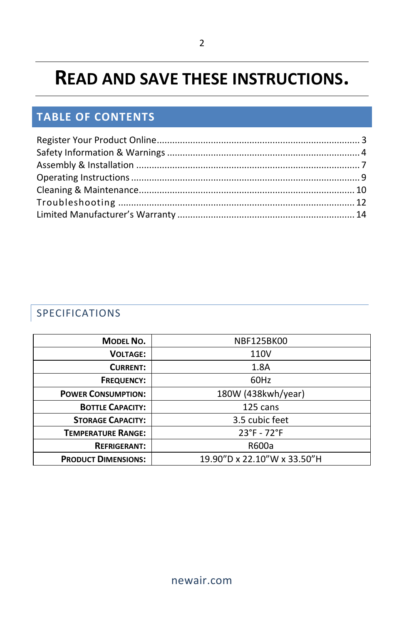# **READ AND SAVE THESE INSTRUCTIONS.**

# **TABLE OF CONTENTS**

# SPECIFICATIONS

| <b>MODEL NO.</b>           | <b>NBF125BK00</b>           |  |
|----------------------------|-----------------------------|--|
| <b>VOLTAGE:</b>            | 110V                        |  |
| <b>CURRENT:</b>            | 1.8A                        |  |
| <b>FREQUENCY:</b>          | 60Hz                        |  |
| <b>POWER CONSUMPTION:</b>  | 180W (438kwh/year)          |  |
| <b>BOTTLE CAPACITY:</b>    | 125 cans                    |  |
| <b>STORAGE CAPACITY:</b>   | 3.5 cubic feet              |  |
| <b>TEMPERATURE RANGE:</b>  | $23^{\circ}F - 72^{\circ}F$ |  |
| <b>REFRIGERANT:</b>        | R600a                       |  |
| <b>PRODUCT DIMENSIONS:</b> | 19.90"D x 22.10"W x 33.50"H |  |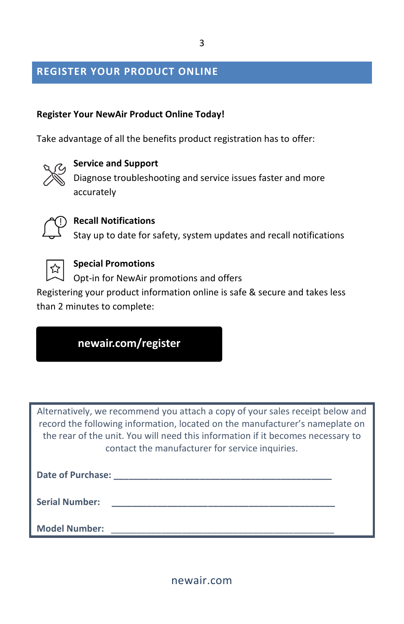#### <span id="page-2-0"></span>**REGISTER YOUR PRODUCT ONLINE**

#### **Register Your NewAir Product Online Today!**

Take advantage of all the benefits product registration has to offer:



#### **Service and Support**

Diagnose troubleshooting and service issues faster and more accurately



#### **Recall Notifications**

Stay up to date for safety, system updates and recall notifications

**0**

#### **Special Promotions**

Opt-in for NewAir promotions and offers

Registering your product information online is safe & secure and takes less than 2 minutes to complete:

| newair.com/register |  |  |
|---------------------|--|--|
|---------------------|--|--|

Alternatively, we recommend you attach a copy of your sales receipt below and record the following information, located on the manufacturer's nameplate on the rear of the unit. You will need this information if it becomes necessary to contact the manufacturer for service inquiries.

| <b>Date of Purchase:</b> |  |
|--------------------------|--|
| <b>Serial Number:</b>    |  |
| <b>Model Number:</b>     |  |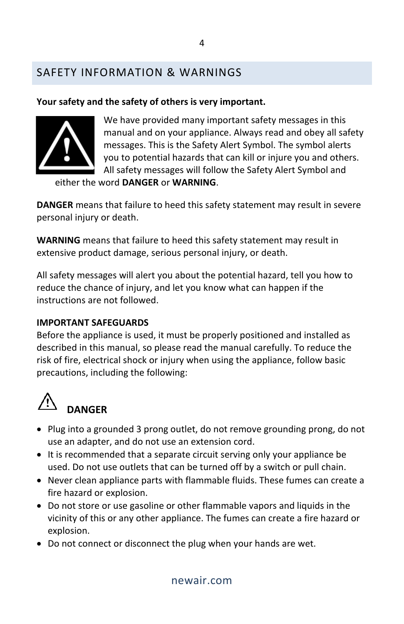# <span id="page-3-0"></span>SAFETY INFORMATION & WARNINGS

#### **Your safety and the safety of others is very important.**



We have provided many important safety messages in this manual and on your appliance. Always read and obey all safety messages. This is the Safety Alert Symbol. The symbol alerts you to potential hazards that can kill or injure you and others. All safety messages will follow the Safety Alert Symbol and

either the word **DANGER** or **WARNING**.

**DANGER** means that failure to heed this safety statement may result in severe personal injury or death.

**WARNING** means that failure to heed this safety statement may result in extensive product damage, serious personal injury, or death.

All safety messages will alert you about the potential hazard, tell you how to reduce the chance of injury, and let you know what can happen if the instructions are not followed.

#### **IMPORTANT SAFEGUARDS**

Before the appliance is used, it must be properly positioned and installed as described in this manual, so please read the manual carefully. To reduce the risk of fire, electrical shock or injury when using the appliance, follow basic precautions, including the following:



# **DANGER**

- Plug into a grounded 3 prong outlet, do not remove grounding prong, do not use an adapter, and do not use an extension cord.
- It is recommended that a separate circuit serving only your appliance be used. Do not use outlets that can be turned off by a switch or pull chain.
- Never clean appliance parts with flammable fluids. These fumes can create a fire hazard or explosion.
- Do not store or use gasoline or other flammable vapors and liquids in the vicinity of this or any other appliance. The fumes can create a fire hazard or explosion.
- Do not connect or disconnect the plug when your hands are wet.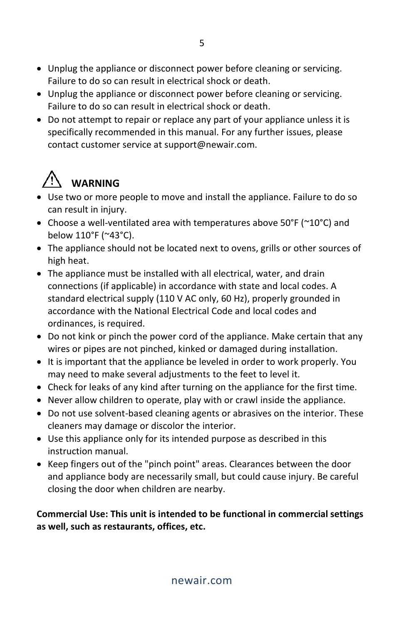- Unplug the appliance or disconnect power before cleaning or servicing. Failure to do so can result in electrical shock or death.
- Unplug the appliance or disconnect power before cleaning or servicing. Failure to do so can result in electrical shock or death.
- Do not attempt to repair or replace any part of your appliance unless it is specifically recommended in this manual. For any further issues, please contact customer service at support@newair.com.

# **WARNING**

- Use two or more people to move and install the appliance. Failure to do so can result in injury.
- Choose a well-ventilated area with temperatures above 50°F (~10°C) and below 110°F (~43°C).
- The appliance should not be located next to ovens, grills or other sources of high heat.
- The appliance must be installed with all electrical, water, and drain connections (if applicable) in accordance with state and local codes. A standard electrical supply (110 V AC only, 60 Hz), properly grounded in accordance with the National Electrical Code and local codes and ordinances, is required.
- Do not kink or pinch the power cord of the appliance. Make certain that any wires or pipes are not pinched, kinked or damaged during installation.
- It is important that the appliance be leveled in order to work properly. You may need to make several adjustments to the feet to level it.
- Check for leaks of any kind after turning on the appliance for the first time.
- Never allow children to operate, play with or crawl inside the appliance.
- Do not use solvent-based cleaning agents or abrasives on the interior. These cleaners may damage or discolor the interior.
- Use this appliance only for its intended purpose as described in this instruction manual.
- Keep fingers out of the "pinch point" areas. Clearances between the door and appliance body are necessarily small, but could cause injury. Be careful closing the door when children are nearby.

**Commercial Use: This unit is intended to be functional in commercial settings as well, such as restaurants, offices, etc.**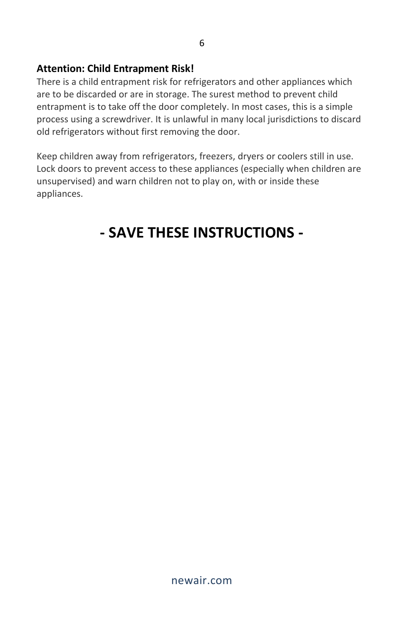#### **Attention: Child Entrapment Risk!**

There is a child entrapment risk for refrigerators and other appliances which are to be discarded or are in storage. The surest method to prevent child entrapment is to take off the door completely. In most cases, this is a simple process using a screwdriver. It is unlawful in many local jurisdictions to discard old refrigerators without first removing the door.

Keep children away from refrigerators, freezers, dryers or coolers still in use. Lock doors to prevent access to these appliances (especially when children are unsupervised) and warn children not to play on, with or inside these appliances.

# **- SAVE THESE INSTRUCTIONS -**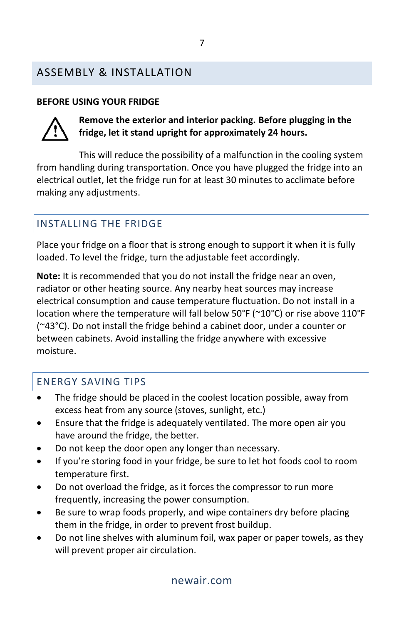## <span id="page-6-0"></span>ASSEMBLY & INSTALLATION

#### **BEFORE USING YOUR FRIDGE**



**Remove the exterior and interior packing. Before plugging in the fridge, let it stand upright for approximately 24 hours.**

This will reduce the possibility of a malfunction in the cooling system from handling during transportation. Once you have plugged the fridge into an electrical outlet, let the fridge run for at least 30 minutes to acclimate before making any adjustments.

# INSTALLING THE FRIDGE

Place your fridge on a floor that is strong enough to support it when it is fully loaded. To level the fridge, turn the adjustable feet accordingly.

**Note:** It is recommended that you do not install the fridge near an oven, radiator or other heating source. Any nearby heat sources may increase electrical consumption and cause temperature fluctuation. Do not install in a location where the temperature will fall below 50°F (~10°C) or rise above 110°F (~43°C). Do not install the fridge behind a cabinet door, under a counter or between cabinets. Avoid installing the fridge anywhere with excessive moisture.

### ENERGY SAVING TIPS

- The fridge should be placed in the coolest location possible, away from excess heat from any source (stoves, sunlight, etc.)
- Ensure that the fridge is adequately ventilated. The more open air you have around the fridge, the better.
- Do not keep the door open any longer than necessary.
- If you're storing food in your fridge, be sure to let hot foods cool to room temperature first.
- Do not overload the fridge, as it forces the compressor to run more frequently, increasing the power consumption.
- Be sure to wrap foods properly, and wipe containers dry before placing them in the fridge, in order to prevent frost buildup.
- Do not line shelves with aluminum foil, wax paper or paper towels, as they will prevent proper air circulation.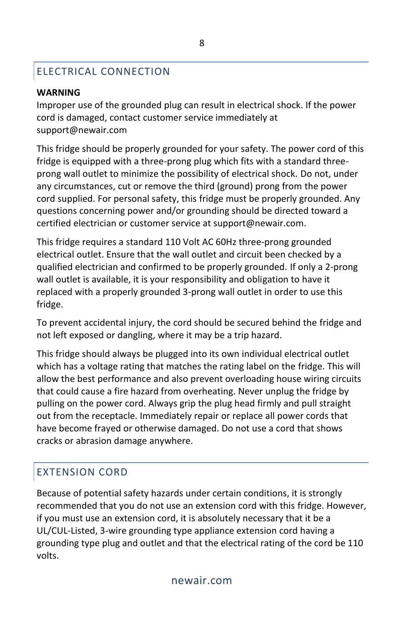# ELECTRICAL CONNECTION

#### **WARNING**

Improper use of the grounded plug can result in electrical shock. If the power cord is damaged, contact customer service immediately at support@newair.com

This fridge should be properly grounded for your safety. The power cord of this fridge is equipped with a three-prong plug which fits with a standard threeprong wall outlet to minimize the possibility of electrical shock. Do not, under any circumstances, cut or remove the third (ground) prong from the power cord supplied. For personal safety, this fridge must be properly grounded. Any questions concerning power and/or grounding should be directed toward a certified electrician or customer service at support@newair.com.

This fridge requires a standard 110 Volt AC 60Hz three-prong grounded electrical outlet. Ensure that the wall outlet and circuit been checked by a qualified electrician and confirmed to be properly grounded. If only a 2-prong wall outlet is available, it is your responsibility and obligation to have it replaced with a properly grounded 3-prong wall outlet in order to use this fridge.

To prevent accidental injury, the cord should be secured behind the fridge and not left exposed or dangling, where it may be a trip hazard.

This fridge should always be plugged into its own individual electrical outlet which has a voltage rating that matches the rating label on the fridge. This will allow the best performance and also prevent overloading house wiring circuits that could cause a fire hazard from overheating. Never unplug the fridge by pulling on the power cord. Always grip the plug head firmly and pull straight out from the receptacle. Immediately repair or replace all power cords that have become frayed or otherwise damaged. Do not use a cord that shows cracks or abrasion damage anywhere.

# EXTENSION CORD

Because of potential safety hazards under certain conditions, it is strongly recommended that you do not use an extension cord with this fridge. However, if you must use an extension cord, it is absolutely necessary that it be a UL/CUL-Listed, 3-wire grounding type appliance extension cord having a grounding type plug and outlet and that the electrical rating of the cord be 110 volts.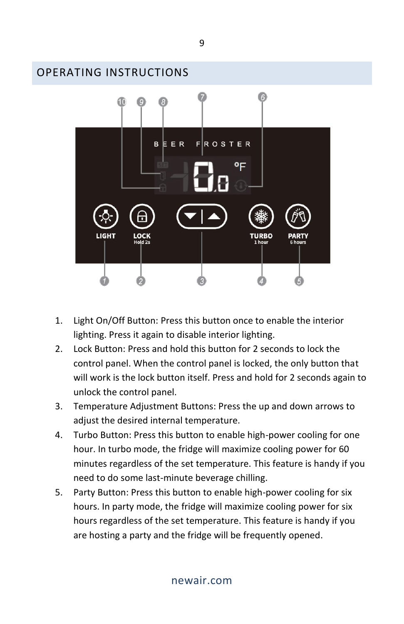<span id="page-8-0"></span>

- 1. Light On/Off Button: Press this button once to enable the interior lighting. Press it again to disable interior lighting.
- 2. Lock Button: Press and hold this button for 2 seconds to lock the control panel. When the control panel is locked, the only button that will work is the lock button itself. Press and hold for 2 seconds again to unlock the control panel.
- 3. Temperature Adjustment Buttons: Press the up and down arrows to adjust the desired internal temperature.
- 4. Turbo Button: Press this button to enable high-power cooling for one hour. In turbo mode, the fridge will maximize cooling power for 60 minutes regardless of the set temperature. This feature is handy if you need to do some last-minute beverage chilling.
- 5. Party Button: Press this button to enable high-power cooling for six hours. In party mode, the fridge will maximize cooling power for six hours regardless of the set temperature. This feature is handy if you are hosting a party and the fridge will be frequently opened.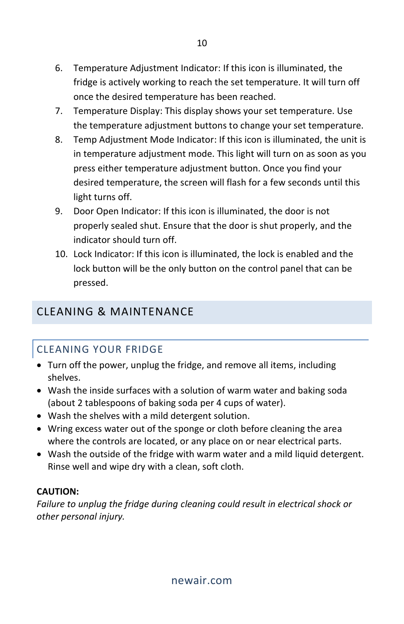- 6. Temperature Adjustment Indicator: If this icon is illuminated, the fridge is actively working to reach the set temperature. It will turn off once the desired temperature has been reached.
- 7. Temperature Display: This display shows your set temperature. Use the temperature adjustment buttons to change your set temperature.
- 8. Temp Adjustment Mode Indicator: If this icon is illuminated, the unit is in temperature adjustment mode. This light will turn on as soon as you press either temperature adjustment button. Once you find your desired temperature, the screen will flash for a few seconds until this light turns off.
- 9. Door Open Indicator: If this icon is illuminated, the door is not properly sealed shut. Ensure that the door is shut properly, and the indicator should turn off.
- 10. Lock Indicator: If this icon is illuminated, the lock is enabled and the lock button will be the only button on the control panel that can be pressed.

# <span id="page-9-0"></span>CLEANING & MAINTENANCE

# CLEANING YOUR FRIDGE

- Turn off the power, unplug the fridge, and remove all items, including shelves.
- Wash the inside surfaces with a solution of warm water and baking soda (about 2 tablespoons of baking soda per 4 cups of water).
- Wash the shelves with a mild detergent solution.
- Wring excess water out of the sponge or cloth before cleaning the area where the controls are located, or any place on or near electrical parts.
- Wash the outside of the fridge with warm water and a mild liquid detergent. Rinse well and wipe dry with a clean, soft cloth.

#### **CAUTION:**

*Failure to unplug the fridge during cleaning could result in electrical shock or other personal injury.*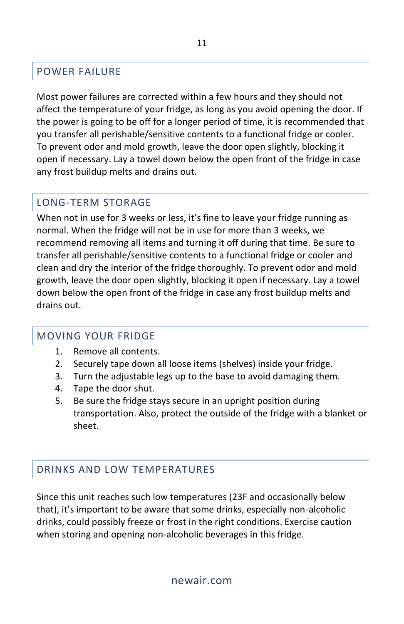### POWER FAILURE

Most power failures are corrected within a few hours and they should not affect the temperature of your fridge, as long as you avoid opening the door. If the power is going to be off for a longer period of time, it is recommended that you transfer all perishable/sensitive contents to a functional fridge or cooler. To prevent odor and mold growth, leave the door open slightly, blocking it open if necessary. Lay a towel down below the open front of the fridge in case any frost buildup melts and drains out.

# LONG-TERM STORAGE

When not in use for 3 weeks or less, it's fine to leave your fridge running as normal. When the fridge will not be in use for more than 3 weeks, we recommend removing all items and turning it off during that time. Be sure to transfer all perishable/sensitive contents to a functional fridge or cooler and clean and dry the interior of the fridge thoroughly. To prevent odor and mold growth, leave the door open slightly, blocking it open if necessary. Lay a towel down below the open front of the fridge in case any frost buildup melts and drains out.

### MOVING YOUR FRIDGE

- 1. Remove all contents.
- 2. Securely tape down all loose items (shelves) inside your fridge.
- 3. Turn the adjustable legs up to the base to avoid damaging them.
- 4. Tape the door shut.
- 5. Be sure the fridge stays secure in an upright position during transportation. Also, protect the outside of the fridge with a blanket or sheet.

# DRINKS AND LOW TEMPERATURES

Since this unit reaches such low temperatures (23F and occasionally below that), it's important to be aware that some drinks, especially non-alcoholic drinks, could possibly freeze or frost in the right conditions. Exercise caution when storing and opening non-alcoholic beverages in this fridge.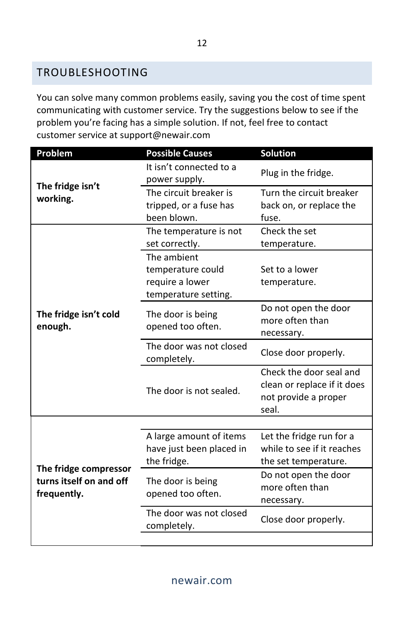### <span id="page-11-0"></span>TROUBLESHOOTING

You can solve many common problems easily, saving you the cost of time spent communicating with customer service. Try the suggestions below to see if the problem you're facing has a simple solution. If not, feel free to contact customer service at support@newair.com

| Problem                                                         | <b>Possible Causes</b>                                                      | Solution                                                                                |
|-----------------------------------------------------------------|-----------------------------------------------------------------------------|-----------------------------------------------------------------------------------------|
| The fridge isn't<br>working.                                    | It isn't connected to a<br>power supply.                                    | Plug in the fridge.                                                                     |
|                                                                 | The circuit breaker is<br>tripped, or a fuse has<br>been blown.             | Turn the circuit breaker<br>back on, or replace the<br>fuse.                            |
| The fridge isn't cold<br>enough.                                | The temperature is not<br>set correctly.                                    | Check the set<br>temperature.                                                           |
|                                                                 | The ambient<br>temperature could<br>require a lower<br>temperature setting. | Set to a lower<br>temperature.                                                          |
|                                                                 | The door is being<br>opened too often.                                      | Do not open the door<br>more often than<br>necessary.                                   |
|                                                                 | The door was not closed<br>completely.                                      | Close door properly.                                                                    |
|                                                                 | The door is not sealed.                                                     | Check the door seal and<br>clean or replace if it does<br>not provide a proper<br>seal. |
|                                                                 |                                                                             |                                                                                         |
| The fridge compressor<br>turns itself on and off<br>frequently. | A large amount of items<br>have just been placed in<br>the fridge.          | Let the fridge run for a<br>while to see if it reaches<br>the set temperature.          |
|                                                                 | The door is being<br>opened too often.                                      | Do not open the door<br>more often than<br>necessary.                                   |
|                                                                 | The door was not closed<br>completely.                                      | Close door properly.                                                                    |
|                                                                 |                                                                             |                                                                                         |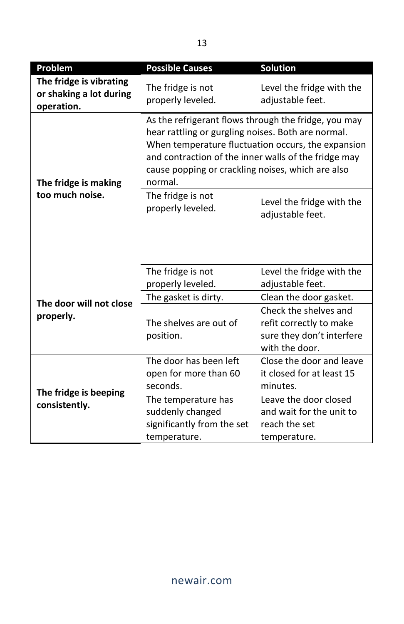| Problem                                                          | <b>Possible Causes</b>                                                                                                                                                                                                                                                                   | Solution                                                                                        |
|------------------------------------------------------------------|------------------------------------------------------------------------------------------------------------------------------------------------------------------------------------------------------------------------------------------------------------------------------------------|-------------------------------------------------------------------------------------------------|
| The fridge is vibrating<br>or shaking a lot during<br>operation. | The fridge is not<br>properly leveled.                                                                                                                                                                                                                                                   | Level the fridge with the<br>adjustable feet.                                                   |
| The fridge is making                                             | As the refrigerant flows through the fridge, you may<br>hear rattling or gurgling noises. Both are normal.<br>When temperature fluctuation occurs, the expansion<br>and contraction of the inner walls of the fridge may<br>cause popping or crackling noises, which are also<br>normal. |                                                                                                 |
| too much noise.                                                  | The fridge is not<br>properly leveled.                                                                                                                                                                                                                                                   | Level the fridge with the<br>adjustable feet.                                                   |
|                                                                  |                                                                                                                                                                                                                                                                                          |                                                                                                 |
|                                                                  | The fridge is not                                                                                                                                                                                                                                                                        | Level the fridge with the                                                                       |
|                                                                  | properly leveled.                                                                                                                                                                                                                                                                        | adjustable feet.                                                                                |
| The door will not close                                          | The gasket is dirty.                                                                                                                                                                                                                                                                     | Clean the door gasket.                                                                          |
| properly.                                                        | The shelves are out of<br>position.                                                                                                                                                                                                                                                      | Check the shelves and<br>refit correctly to make<br>sure they don't interfere<br>with the door. |
| The fridge is beeping<br>consistently.                           | The door has been left<br>open for more than 60<br>seconds.                                                                                                                                                                                                                              | Close the door and leave<br>it closed for at least 15<br>minutes.                               |
|                                                                  | The temperature has<br>suddenly changed<br>significantly from the set<br>temperature.                                                                                                                                                                                                    | Leave the door closed<br>and wait for the unit to<br>reach the set<br>temperature.              |